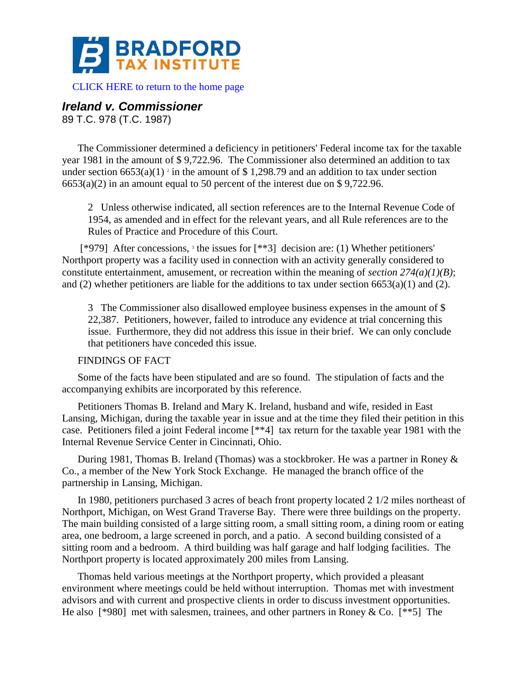

[CLICK HERE to return to the home page](http://bradfordtaxinstitute.com/index1.aspx) 

# *Ireland v. Commissioner*

89 T.C. 978 (T.C. 1987)

The Commissioner determined a deficiency in petitioners' Federal income tax for the taxable year 1981 in the amount of \$ 9,722.96. The Commissioner also determined an addition to tax under section  $6653(a)(1)$ <sup>2</sup> in the amount of \$1,298.79 and an addition to tax under section  $6653(a)(2)$  in an amount equal to 50 percent of the interest due on \$9,722.96.

2 Unless otherwise indicated, all section references are to the Internal Revenue Code of 1954, as amended and in effect for the relevant years, and all Rule references are to the Rules of Practice and Procedure of this Court.

[\*979] After concessions, <sup>3</sup> the issues for [\*\*3] decision are: (1) Whether petitioners' Northport property was a facility used in connection with an activity generally considered to constitute entertainment, amusement, or recreation within the meaning of *section 274(a)(1)(B)*; and (2) whether petitioners are liable for the additions to tax under section 6653(a)(1) and (2).

3 The Commissioner also disallowed employee business expenses in the amount of \$ 22,387. Petitioners, however, failed to introduce any evidence at trial concerning this issue. Furthermore, they did not address this issue in their brief. We can only conclude that petitioners have conceded this issue.

## FINDINGS OF FACT

Some of the facts have been stipulated and are so found. The stipulation of facts and the accompanying exhibits are incorporated by this reference.

Petitioners Thomas B. Ireland and Mary K. Ireland, husband and wife, resided in East Lansing, Michigan, during the taxable year in issue and at the time they filed their petition in this case. Petitioners filed a joint Federal income [\*\*4] tax return for the taxable year 1981 with the Internal Revenue Service Center in Cincinnati, Ohio.

During 1981, Thomas B. Ireland (Thomas) was a stockbroker. He was a partner in Roney & Co., a member of the New York Stock Exchange. He managed the branch office of the partnership in Lansing, Michigan.

In 1980, petitioners purchased 3 acres of beach front property located 2 1/2 miles northeast of Northport, Michigan, on West Grand Traverse Bay. There were three buildings on the property. The main building consisted of a large sitting room, a small sitting room, a dining room or eating area, one bedroom, a large screened in porch, and a patio. A second building consisted of a sitting room and a bedroom. A third building was half garage and half lodging facilities. The Northport property is located approximately 200 miles from Lansing.

Thomas held various meetings at the Northport property, which provided a pleasant environment where meetings could be held without interruption. Thomas met with investment advisors and with current and prospective clients in order to discuss investment opportunities. He also [\*980] met with salesmen, trainees, and other partners in Roney & Co. [\*\*5] The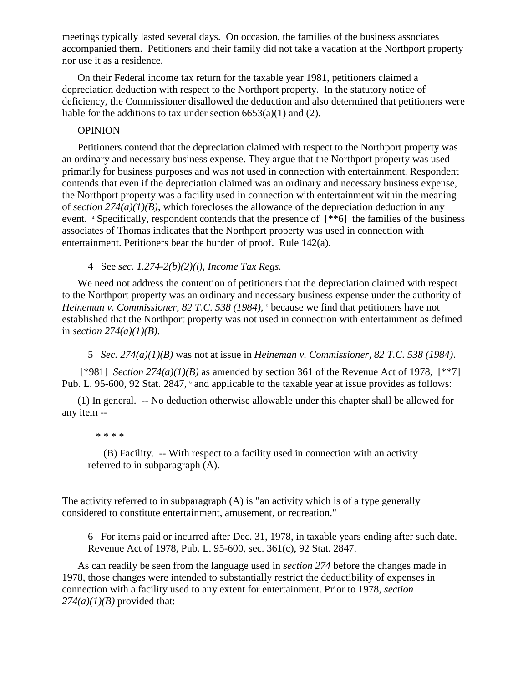meetings typically lasted several days. On occasion, the families of the business associates accompanied them. Petitioners and their family did not take a vacation at the Northport property nor use it as a residence.

On their Federal income tax return for the taxable year 1981, petitioners claimed a depreciation deduction with respect to the Northport property. In the statutory notice of deficiency, the Commissioner disallowed the deduction and also determined that petitioners were liable for the additions to tax under section  $6653(a)(1)$  and (2).

### **OPINION**

Petitioners contend that the depreciation claimed with respect to the Northport property was an ordinary and necessary business expense. They argue that the Northport property was used primarily for business purposes and was not used in connection with entertainment. Respondent contends that even if the depreciation claimed was an ordinary and necessary business expense, the Northport property was a facility used in connection with entertainment within the meaning of *section 274(a)(1)(B)*, which forecloses the allowance of the depreciation deduction in any event. <sup>4</sup> Specifically, respondent contends that the presence of [\*\*6] the families of the business associates of Thomas indicates that the Northport property was used in connection with entertainment. Petitioners bear the burden of proof. Rule 142(a).

4 See *sec. 1.274-2(b)(2)(i), Income Tax Regs.*

We need not address the contention of petitioners that the depreciation claimed with respect to the Northport property was an ordinary and necessary business expense under the authority of Heineman v. Commissioner, 82 T.C. 538 (1984), <sup>5</sup> because we find that petitioners have not established that the Northport property was not used in connection with entertainment as defined in *section 274(a)(1)(B)*.

5 *Sec. 274(a)(1)(B)* was not at issue in *Heineman v. Commissioner, 82 T.C. 538 (1984)*.

[\*981] *Section 274(a)(1)(B)* as amended by section 361 of the Revenue Act of 1978, [\*\*7] Pub. L. 95-600, 92 Stat. 2847,  $\epsilon$  and applicable to the taxable year at issue provides as follows:

(1) In general. -- No deduction otherwise allowable under this chapter shall be allowed for any item --

#### \* \* \* \*

(B) Facility. -- With respect to a facility used in connection with an activity referred to in subparagraph (A).

The activity referred to in subparagraph (A) is "an activity which is of a type generally considered to constitute entertainment, amusement, or recreation."

6 For items paid or incurred after Dec. 31, 1978, in taxable years ending after such date. Revenue Act of 1978, Pub. L. 95-600, sec. 361(c), 92 Stat. 2847.

As can readily be seen from the language used in *section 274* before the changes made in 1978, those changes were intended to substantially restrict the deductibility of expenses in connection with a facility used to any extent for entertainment. Prior to 1978, *section 274(a)(1)(B)* provided that: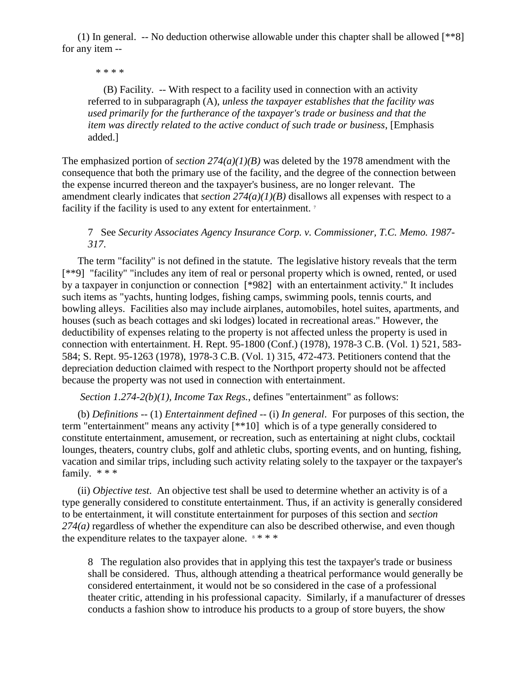(1) In general. -- No deduction otherwise allowable under this chapter shall be allowed [\*\*8] for any item --

\* \* \* \*

(B) Facility. -- With respect to a facility used in connection with an activity referred to in subparagraph (A), *unless the taxpayer establishes that the facility was used primarily for the furtherance of the taxpayer's trade or business and that the item was directly related to the active conduct of such trade or business*, [Emphasis added.]

The emphasized portion of *section 274(a)(1)(B)* was deleted by the 1978 amendment with the consequence that both the primary use of the facility, and the degree of the connection between the expense incurred thereon and the taxpayer's business, are no longer relevant. The amendment clearly indicates that *section 274(a)(1)(B)* disallows all expenses with respect to a facility if the facility is used to any extent for entertainment.<sup>7</sup>

7 See *Security Associates Agency Insurance Corp. v. Commissioner, T.C. Memo. 1987- 317*.

The term "facility" is not defined in the statute. The legislative history reveals that the term [\*\*9] "facility" "includes any item of real or personal property which is owned, rented, or used by a taxpayer in conjunction or connection [\*982] with an entertainment activity." It includes such items as "yachts, hunting lodges, fishing camps, swimming pools, tennis courts, and bowling alleys. Facilities also may include airplanes, automobiles, hotel suites, apartments, and houses (such as beach cottages and ski lodges) located in recreational areas." However, the deductibility of expenses relating to the property is not affected unless the property is used in connection with entertainment. H. Rept. 95-1800 (Conf.) (1978), 1978-3 C.B. (Vol. 1) 521, 583- 584; S. Rept. 95-1263 (1978), 1978-3 C.B. (Vol. 1) 315, 472-473. Petitioners contend that the depreciation deduction claimed with respect to the Northport property should not be affected because the property was not used in connection with entertainment.

*Section 1.274-2(b)(1), Income Tax Regs.*, defines "entertainment" as follows:

(b) *Definitions* -- (1) *Entertainment defined* -- (i) *In general*. For purposes of this section, the term "entertainment" means any activity [\*\*10] which is of a type generally considered to constitute entertainment, amusement, or recreation, such as entertaining at night clubs, cocktail lounges, theaters, country clubs, golf and athletic clubs, sporting events, and on hunting, fishing, vacation and similar trips, including such activity relating solely to the taxpayer or the taxpayer's family. \* \* \*

(ii) *Objective test*. An objective test shall be used to determine whether an activity is of a type generally considered to constitute entertainment. Thus, if an activity is generally considered to be entertainment, it will constitute entertainment for purposes of this section and *section 274(a)* regardless of whether the expenditure can also be described otherwise, and even though the expenditure relates to the taxpayer alone.  $8 * * *$ 

8 The regulation also provides that in applying this test the taxpayer's trade or business shall be considered. Thus, although attending a theatrical performance would generally be considered entertainment, it would not be so considered in the case of a professional theater critic, attending in his professional capacity. Similarly, if a manufacturer of dresses conducts a fashion show to introduce his products to a group of store buyers, the show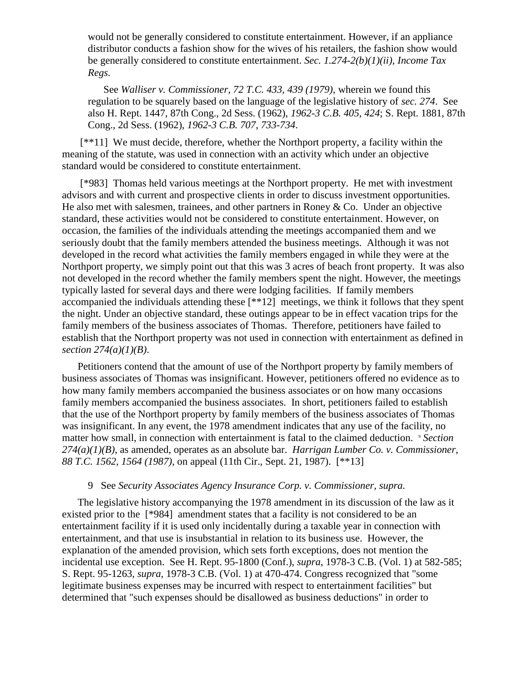would not be generally considered to constitute entertainment. However, if an appliance distributor conducts a fashion show for the wives of his retailers, the fashion show would be generally considered to constitute entertainment. *Sec. 1.274-2(b)(1)(ii), Income Tax Regs.*

See *Walliser v. Commissioner, 72 T.C. 433, 439 (1979)*, wherein we found this regulation to be squarely based on the language of the legislative history of *sec. 274*. See also H. Rept. 1447, 87th Cong., 2d Sess. (1962), *1962-3 C.B. 405, 424*; S. Rept. 1881, 87th Cong., 2d Sess. (1962), *1962-3 C.B. 707, 733-734*.

[\*\*11] We must decide, therefore, whether the Northport property, a facility within the meaning of the statute, was used in connection with an activity which under an objective standard would be considered to constitute entertainment.

[\*983] Thomas held various meetings at the Northport property. He met with investment advisors and with current and prospective clients in order to discuss investment opportunities. He also met with salesmen, trainees, and other partners in Roney & Co. Under an objective standard, these activities would not be considered to constitute entertainment. However, on occasion, the families of the individuals attending the meetings accompanied them and we seriously doubt that the family members attended the business meetings. Although it was not developed in the record what activities the family members engaged in while they were at the Northport property, we simply point out that this was 3 acres of beach front property. It was also not developed in the record whether the family members spent the night. However, the meetings typically lasted for several days and there were lodging facilities. If family members accompanied the individuals attending these [\*\*12] meetings, we think it follows that they spent the night. Under an objective standard, these outings appear to be in effect vacation trips for the family members of the business associates of Thomas. Therefore, petitioners have failed to establish that the Northport property was not used in connection with entertainment as defined in *section 274(a)(1)(B)*.

Petitioners contend that the amount of use of the Northport property by family members of business associates of Thomas was insignificant. However, petitioners offered no evidence as to how many family members accompanied the business associates or on how many occasions family members accompanied the business associates. In short, petitioners failed to establish that the use of the Northport property by family members of the business associates of Thomas was insignificant. In any event, the 1978 amendment indicates that any use of the facility, no matter how small, in connection with entertainment is fatal to the claimed deduction. <sup>9</sup> *Section 274(a)(1)(B)*, as amended, operates as an absolute bar. *Harrigan Lumber Co. v. Commissioner, 88 T.C. 1562, 1564 (1987)*, on appeal (11th Cir., Sept. 21, 1987). [\*\*13]

#### 9 See *Security Associates Agency Insurance Corp. v. Commissioner, supra.*

The legislative history accompanying the 1978 amendment in its discussion of the law as it existed prior to the [\*984] amendment states that a facility is not considered to be an entertainment facility if it is used only incidentally during a taxable year in connection with entertainment, and that use is insubstantial in relation to its business use. However, the explanation of the amended provision, which sets forth exceptions, does not mention the incidental use exception. See H. Rept. 95-1800 (Conf.), *supra*, 1978-3 C.B. (Vol. 1) at 582-585; S. Rept. 95-1263, *supra*, 1978-3 C.B. (Vol. 1) at 470-474. Congress recognized that "some legitimate business expenses may be incurred with respect to entertainment facilities" but determined that "such expenses should be disallowed as business deductions" in order to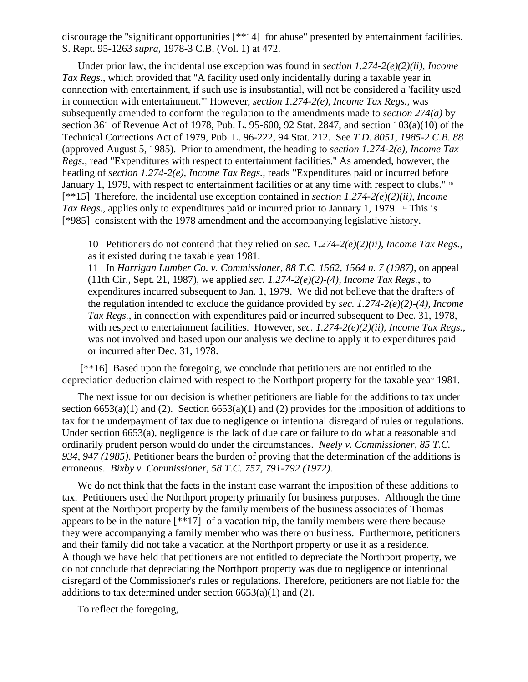discourage the "significant opportunities [\*\*14] for abuse" presented by entertainment facilities. S. Rept. 95-1263 *supra*, 1978-3 C.B. (Vol. 1) at 472.

Under prior law, the incidental use exception was found in *section 1.274-2(e)(2)(ii), Income Tax Regs.*, which provided that "A facility used only incidentally during a taxable year in connection with entertainment, if such use is insubstantial, will not be considered a 'facility used in connection with entertainment.'" However, *section 1.274-2(e), Income Tax Regs.*, was subsequently amended to conform the regulation to the amendments made to *section 274(a)* by section 361 of Revenue Act of 1978, Pub. L. 95-600, 92 Stat. 2847, and section 103(a)(10) of the Technical Corrections Act of 1979, Pub. L. 96-222, 94 Stat. 212. See *T.D. 8051*, *1985-2 C.B. 88* (approved August 5, 1985). Prior to amendment, the heading to *section 1.274-2(e), Income Tax Regs.*, read "Expenditures with respect to entertainment facilities." As amended, however, the heading of *section 1.274-2(e), Income Tax Regs.*, reads "Expenditures paid or incurred before January 1, 1979, with respect to entertainment facilities or at any time with respect to clubs." 10 [\*\*15] Therefore, the incidental use exception contained in *section 1.274-2(e)(2)(ii), Income Tax Regs.*, applies only to expenditures paid or incurred prior to January 1, 1979. <sup>11</sup> This is [\*985] consistent with the 1978 amendment and the accompanying legislative history.

10 Petitioners do not contend that they relied on *sec. 1.274-2(e)(2)(ii), Income Tax Regs.*, as it existed during the taxable year 1981.

11 In *Harrigan Lumber Co. v. Commissioner, 88 T.C. 1562, 1564 n. 7 (1987)*, on appeal (11th Cir., Sept. 21, 1987), we applied *sec. 1.274-2(e)(2)-(4), Income Tax Regs.*, to expenditures incurred subsequent to Jan. 1, 1979. We did not believe that the drafters of the regulation intended to exclude the guidance provided by *sec. 1.274-2(e)(2)-(4), Income Tax Regs.*, in connection with expenditures paid or incurred subsequent to Dec. 31, 1978, with respect to entertainment facilities. However, *sec.* 1.274-2(*e*)(2)(*ii*), *Income Tax Regs.*, was not involved and based upon our analysis we decline to apply it to expenditures paid or incurred after Dec. 31, 1978.

[\*\*16] Based upon the foregoing, we conclude that petitioners are not entitled to the depreciation deduction claimed with respect to the Northport property for the taxable year 1981.

The next issue for our decision is whether petitioners are liable for the additions to tax under section  $6653(a)(1)$  and (2). Section  $6653(a)(1)$  and (2) provides for the imposition of additions to tax for the underpayment of tax due to negligence or intentional disregard of rules or regulations. Under section 6653(a), negligence is the lack of due care or failure to do what a reasonable and ordinarily prudent person would do under the circumstances. *Neely v. Commissioner, 85 T.C. 934, 947 (1985)*. Petitioner bears the burden of proving that the determination of the additions is erroneous. *Bixby v. Commissioner, 58 T.C. 757, 791-792 (1972)*.

We do not think that the facts in the instant case warrant the imposition of these additions to tax. Petitioners used the Northport property primarily for business purposes. Although the time spent at the Northport property by the family members of the business associates of Thomas appears to be in the nature [\*\*17] of a vacation trip, the family members were there because they were accompanying a family member who was there on business. Furthermore, petitioners and their family did not take a vacation at the Northport property or use it as a residence. Although we have held that petitioners are not entitled to depreciate the Northport property, we do not conclude that depreciating the Northport property was due to negligence or intentional disregard of the Commissioner's rules or regulations. Therefore, petitioners are not liable for the additions to tax determined under section  $6653(a)(1)$  and  $(2)$ .

To reflect the foregoing,